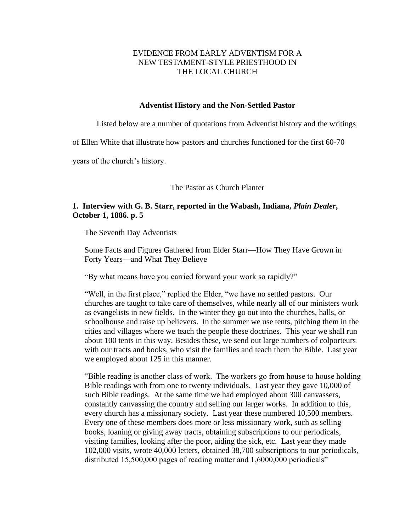# EVIDENCE FROM EARLY ADVENTISM FOR A NEW TESTAMENT-STYLE PRIESTHOOD IN THE LOCAL CHURCH

## **Adventist History and the Non-Settled Pastor**

Listed below are a number of quotations from Adventist history and the writings

of Ellen White that illustrate how pastors and churches functioned for the first 60-70

years of the church's history.

The Pastor as Church Planter

# **1. Interview with G. B. Starr, reported in the Wabash, Indiana,** *Plain Dealer***, October 1, 1886. p. 5**

The Seventh Day Adventists

Some Facts and Figures Gathered from Elder Starr—How They Have Grown in Forty Years—and What They Believe

"By what means have you carried forward your work so rapidly?"

"Well, in the first place," replied the Elder, "we have no settled pastors. Our churches are taught to take care of themselves, while nearly all of our ministers work as evangelists in new fields. In the winter they go out into the churches, halls, or schoolhouse and raise up believers. In the summer we use tents, pitching them in the cities and villages where we teach the people these doctrines. This year we shall run about 100 tents in this way. Besides these, we send out large numbers of colporteurs with our tracts and books, who visit the families and teach them the Bible. Last year we employed about 125 in this manner.

"Bible reading is another class of work. The workers go from house to house holding Bible readings with from one to twenty individuals. Last year they gave 10,000 of such Bible readings. At the same time we had employed about 300 canvassers, constantly canvassing the country and selling our larger works. In addition to this, every church has a missionary society. Last year these numbered 10,500 members. Every one of these members does more or less missionary work, such as selling books, loaning or giving away tracts, obtaining subscriptions to our periodicals, visiting families, looking after the poor, aiding the sick, etc. Last year they made 102,000 visits, wrote 40,000 letters, obtained 38,700 subscriptions to our periodicals, distributed 15,500,000 pages of reading matter and 1,6000,000 periodicals"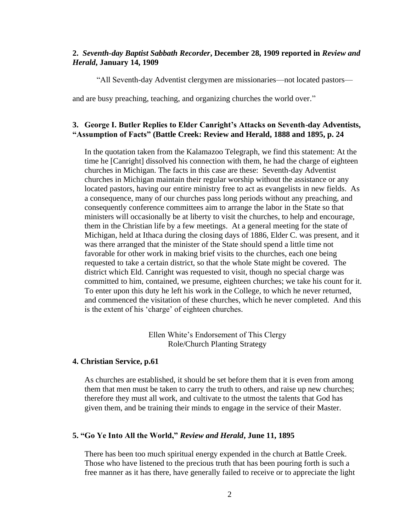## **2.** *Seventh-day Baptist Sabbath Recorder***, December 28, 1909 reported in** *Review and Herald***, January 14, 1909**

"All Seventh-day Adventist clergymen are missionaries—not located pastors—

and are busy preaching, teaching, and organizing churches the world over."

# **3. George I. Butler Replies to Elder Canright's Attacks on Seventh-day Adventists, "Assumption of Facts" (Battle Creek: Review and Herald, 1888 and 1895, p. 24**

In the quotation taken from the Kalamazoo Telegraph, we find this statement: At the time he [Canright] dissolved his connection with them, he had the charge of eighteen churches in Michigan. The facts in this case are these: Seventh-day Adventist churches in Michigan maintain their regular worship without the assistance or any located pastors, having our entire ministry free to act as evangelists in new fields. As a consequence, many of our churches pass long periods without any preaching, and consequently conference committees aim to arrange the labor in the State so that ministers will occasionally be at liberty to visit the churches, to help and encourage, them in the Christian life by a few meetings. At a general meeting for the state of Michigan, held at Ithaca during the closing days of 1886, Elder C. was present, and it was there arranged that the minister of the State should spend a little time not favorable for other work in making brief visits to the churches, each one being requested to take a certain district, so that the whole State might be covered. The district which Eld. Canright was requested to visit, though no special charge was committed to him, contained, we presume, eighteen churches; we take his count for it. To enter upon this duty he left his work in the College, to which he never returned, and commenced the visitation of these churches, which he never completed. And this is the extent of his 'charge' of eighteen churches.

> Ellen White's Endorsement of This Clergy Role/Church Planting Strategy

## **4. Christian Service, p.61**

As churches are established, it should be set before them that it is even from among them that men must be taken to carry the truth to others, and raise up new churches; therefore they must all work, and cultivate to the utmost the talents that God has given them, and be training their minds to engage in the service of their Master.

## **5. "Go Ye Into All the World,"** *Review and Herald***, June 11, 1895**

There has been too much spiritual energy expended in the church at Battle Creek. Those who have listened to the precious truth that has been pouring forth is such a free manner as it has there, have generally failed to receive or to appreciate the light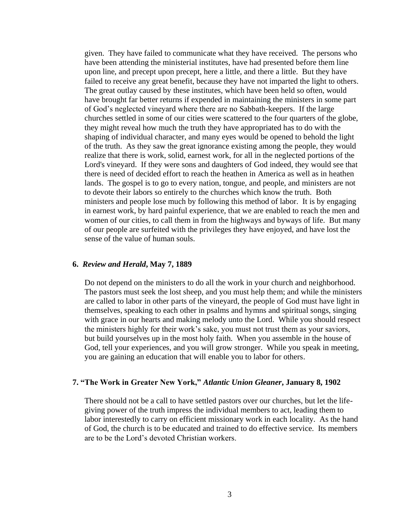given. They have failed to communicate what they have received. The persons who have been attending the ministerial institutes, have had presented before them line upon line, and precept upon precept, here a little, and there a little. But they have failed to receive any great benefit, because they have not imparted the light to others. The great outlay caused by these institutes, which have been held so often, would have brought far better returns if expended in maintaining the ministers in some part of God's neglected vineyard where there are no Sabbath-keepers. If the large churches settled in some of our cities were scattered to the four quarters of the globe, they might reveal how much the truth they have appropriated has to do with the shaping of individual character, and many eyes would be opened to behold the light of the truth. As they saw the great ignorance existing among the people, they would realize that there is work, solid, earnest work, for all in the neglected portions of the Lord's vineyard. If they were sons and daughters of God indeed, they would see that there is need of decided effort to reach the heathen in America as well as in heathen lands. The gospel is to go to every nation, tongue, and people, and ministers are not to devote their labors so entirely to the churches which know the truth. Both ministers and people lose much by following this method of labor. It is by engaging in earnest work, by hard painful experience, that we are enabled to reach the men and women of our cities, to call them in from the highways and byways of life. But many of our people are surfeited with the privileges they have enjoyed, and have lost the sense of the value of human souls.

#### **6.** *Review and Herald***, May 7, 1889**

Do not depend on the ministers to do all the work in your church and neighborhood. The pastors must seek the lost sheep, and you must help them; and while the ministers are called to labor in other parts of the vineyard, the people of God must have light in themselves, speaking to each other in psalms and hymns and spiritual songs, singing with grace in our hearts and making melody unto the Lord. While you should respect the ministers highly for their work's sake, you must not trust them as your saviors, but build yourselves up in the most holy faith. When you assemble in the house of God, tell your experiences, and you will grow stronger. While you speak in meeting, you are gaining an education that will enable you to labor for others.

### **7. "The Work in Greater New York,"** *Atlantic Union Gleaner***, January 8, 1902**

There should not be a call to have settled pastors over our churches, but let the lifegiving power of the truth impress the individual members to act, leading them to labor interestedly to carry on efficient missionary work in each locality. As the hand of God, the church is to be educated and trained to do effective service. Its members are to be the Lord's devoted Christian workers.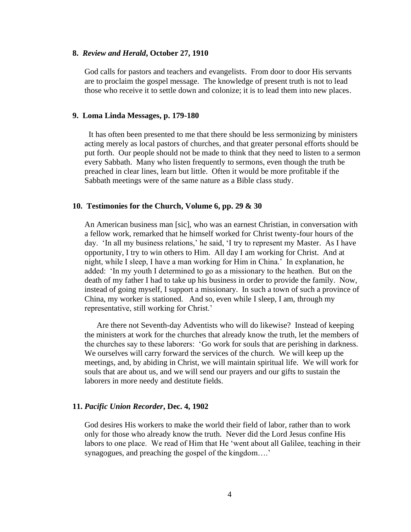#### **8.** *Review and Herald***, October 27, 1910**

God calls for pastors and teachers and evangelists. From door to door His servants are to proclaim the gospel message. The knowledge of present truth is not to lead those who receive it to settle down and colonize; it is to lead them into new places.

#### **9. Loma Linda Messages, p. 179-180**

 It has often been presented to me that there should be less sermonizing by ministers acting merely as local pastors of churches, and that greater personal efforts should be put forth. Our people should not be made to think that they need to listen to a sermon every Sabbath. Many who listen frequently to sermons, even though the truth be preached in clear lines, learn but little. Often it would be more profitable if the Sabbath meetings were of the same nature as a Bible class study.

#### **10. Testimonies for the Church, Volume 6, pp. 29 & 30**

An American business man [sic], who was an earnest Christian, in conversation with a fellow work, remarked that he himself worked for Christ twenty-four hours of the day. 'In all my business relations,' he said, 'I try to represent my Master. As I have opportunity, I try to win others to Him. All day I am working for Christ. And at night, while I sleep, I have a man working for Him in China.' In explanation, he added: 'In my youth I determined to go as a missionary to the heathen. But on the death of my father I had to take up his business in order to provide the family. Now, instead of going myself, I support a missionary. In such a town of such a province of China, my worker is stationed. And so, even while I sleep, I am, through my representative, still working for Christ.'

Are there not Seventh-day Adventists who will do likewise? Instead of keeping the ministers at work for the churches that already know the truth, let the members of the churches say to these laborers: 'Go work for souls that are perishing in darkness. We ourselves will carry forward the services of the church. We will keep up the meetings, and, by abiding in Christ, we will maintain spiritual life. We will work for souls that are about us, and we will send our prayers and our gifts to sustain the laborers in more needy and destitute fields.

#### **11.** *Pacific Union Recorder***, Dec. 4, 1902**

God desires His workers to make the world their field of labor, rather than to work only for those who already know the truth. Never did the Lord Jesus confine His labors to one place. We read of Him that He 'went about all Galilee, teaching in their synagogues, and preaching the gospel of the kingdom….'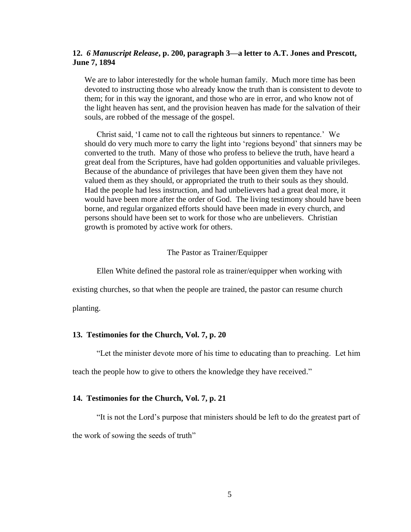## **12.** *6 Manuscript Release***, p. 200, paragraph 3—a letter to A.T. Jones and Prescott, June 7, 1894**

We are to labor interestedly for the whole human family. Much more time has been devoted to instructing those who already know the truth than is consistent to devote to them; for in this way the ignorant, and those who are in error, and who know not of the light heaven has sent, and the provision heaven has made for the salvation of their souls, are robbed of the message of the gospel.

Christ said, 'I came not to call the righteous but sinners to repentance.' We should do very much more to carry the light into 'regions beyond' that sinners may be converted to the truth. Many of those who profess to believe the truth, have heard a great deal from the Scriptures, have had golden opportunities and valuable privileges. Because of the abundance of privileges that have been given them they have not valued them as they should, or appropriated the truth to their souls as they should. Had the people had less instruction, and had unbelievers had a great deal more, it would have been more after the order of God. The living testimony should have been borne, and regular organized efforts should have been made in every church, and persons should have been set to work for those who are unbelievers. Christian growth is promoted by active work for others.

## The Pastor as Trainer/Equipper

Ellen White defined the pastoral role as trainer/equipper when working with

existing churches, so that when the people are trained, the pastor can resume church

planting.

#### **13. Testimonies for the Church, Vol. 7, p. 20**

"Let the minister devote more of his time to educating than to preaching. Let him

teach the people how to give to others the knowledge they have received."

#### **14. Testimonies for the Church, Vol. 7, p. 21**

"It is not the Lord's purpose that ministers should be left to do the greatest part of the work of sowing the seeds of truth"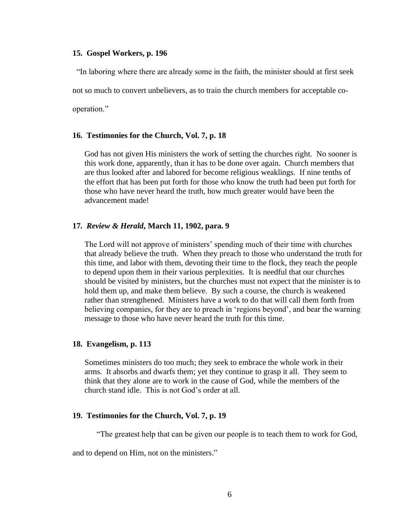#### **15. Gospel Workers, p. 196**

"In laboring where there are already some in the faith, the minister should at first seek

not so much to convert unbelievers, as to train the church members for acceptable co-

operation."

## **16. Testimonies for the Church, Vol. 7, p. 18**

God has not given His ministers the work of setting the churches right. No sooner is this work done, apparently, than it has to be done over again. Church members that are thus looked after and labored for become religious weaklings. If nine tenths of the effort that has been put forth for those who know the truth had been put forth for those who have never heard the truth, how much greater would have been the advancement made!

### **17.** *Review & Herald***, March 11, 1902, para. 9**

The Lord will not approve of ministers' spending much of their time with churches that already believe the truth. When they preach to those who understand the truth for this time, and labor with them, devoting their time to the flock, they teach the people to depend upon them in their various perplexities. It is needful that our churches should be visited by ministers, but the churches must not expect that the minister is to hold them up, and make them believe. By such a course, the church is weakened rather than strengthened. Ministers have a work to do that will call them forth from believing companies, for they are to preach in 'regions beyond', and bear the warning message to those who have never heard the truth for this time.

#### **18. Evangelism, p. 113**

Sometimes ministers do too much; they seek to embrace the whole work in their arms. It absorbs and dwarfs them; yet they continue to grasp it all. They seem to think that they alone are to work in the cause of God, while the members of the church stand idle. This is not God's order at all.

### **19. Testimonies for the Church, Vol. 7, p. 19**

"The greatest help that can be given our people is to teach them to work for God,

and to depend on Him, not on the ministers."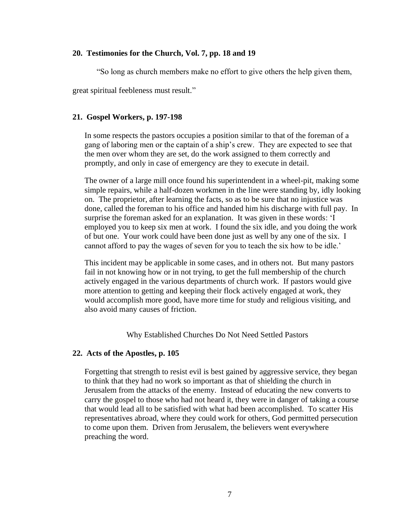## **20. Testimonies for the Church, Vol. 7, pp. 18 and 19**

"So long as church members make no effort to give others the help given them,

great spiritual feebleness must result."

## **21. Gospel Workers, p. 197-198**

In some respects the pastors occupies a position similar to that of the foreman of a gang of laboring men or the captain of a ship's crew. They are expected to see that the men over whom they are set, do the work assigned to them correctly and promptly, and only in case of emergency are they to execute in detail.

The owner of a large mill once found his superintendent in a wheel-pit, making some simple repairs, while a half-dozen workmen in the line were standing by, idly looking on. The proprietor, after learning the facts, so as to be sure that no injustice was done, called the foreman to his office and handed him his discharge with full pay. In surprise the foreman asked for an explanation. It was given in these words: 'I employed you to keep six men at work. I found the six idle, and you doing the work of but one. Your work could have been done just as well by any one of the six. I cannot afford to pay the wages of seven for you to teach the six how to be idle.'

This incident may be applicable in some cases, and in others not. But many pastors fail in not knowing how or in not trying, to get the full membership of the church actively engaged in the various departments of church work. If pastors would give more attention to getting and keeping their flock actively engaged at work, they would accomplish more good, have more time for study and religious visiting, and also avoid many causes of friction.

Why Established Churches Do Not Need Settled Pastors

# **22. Acts of the Apostles, p. 105**

Forgetting that strength to resist evil is best gained by aggressive service, they began to think that they had no work so important as that of shielding the church in Jerusalem from the attacks of the enemy. Instead of educating the new converts to carry the gospel to those who had not heard it, they were in danger of taking a course that would lead all to be satisfied with what had been accomplished. To scatter His representatives abroad, where they could work for others, God permitted persecution to come upon them. Driven from Jerusalem, the believers went everywhere preaching the word.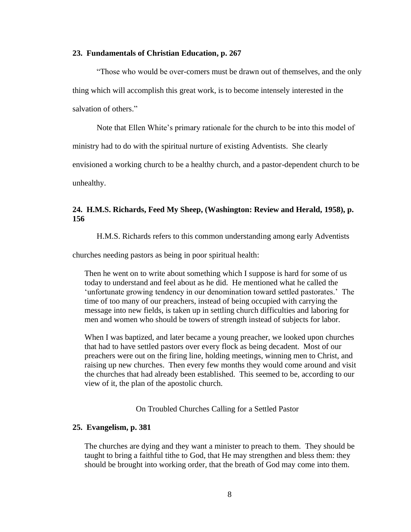#### **23. Fundamentals of Christian Education, p. 267**

"Those who would be over-comers must be drawn out of themselves, and the only thing which will accomplish this great work, is to become intensely interested in the salvation of others."

Note that Ellen White's primary rationale for the church to be into this model of

ministry had to do with the spiritual nurture of existing Adventists. She clearly

envisioned a working church to be a healthy church, and a pastor-dependent church to be

unhealthy.

## **24. H.M.S. Richards, Feed My Sheep, (Washington: Review and Herald, 1958), p. 156**

H.M.S. Richards refers to this common understanding among early Adventists

churches needing pastors as being in poor spiritual health:

Then he went on to write about something which I suppose is hard for some of us today to understand and feel about as he did. He mentioned what he called the 'unfortunate growing tendency in our denomination toward settled pastorates.' The time of too many of our preachers, instead of being occupied with carrying the message into new fields, is taken up in settling church difficulties and laboring for men and women who should be towers of strength instead of subjects for labor.

When I was baptized, and later became a young preacher, we looked upon churches that had to have settled pastors over every flock as being decadent. Most of our preachers were out on the firing line, holding meetings, winning men to Christ, and raising up new churches. Then every few months they would come around and visit the churches that had already been established. This seemed to be, according to our view of it, the plan of the apostolic church.

On Troubled Churches Calling for a Settled Pastor

#### **25. Evangelism, p. 381**

The churches are dying and they want a minister to preach to them. They should be taught to bring a faithful tithe to God, that He may strengthen and bless them: they should be brought into working order, that the breath of God may come into them.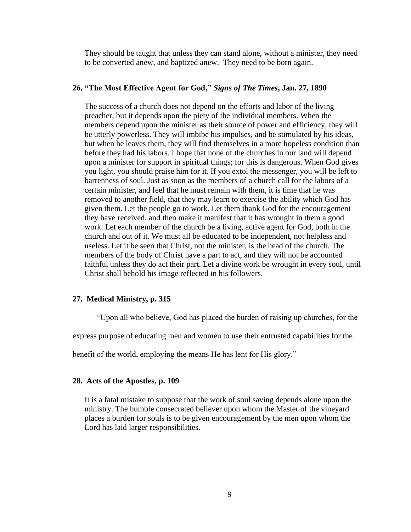They should be taught that unless they can stand alone, without a minister, they need to be converted anew, and baptized anew. They need to be born again.

## **26. "The Most Effective Agent for God,"** *Signs of The Times***, Jan. 27, 1890**

The success of a church does not depend on the efforts and labor of the living preacher, but it depends upon the piety of the individual members. When the members depend upon the minister as their source of power and efficiency, they will be utterly powerless. They will imbibe his impulses, and be stimulated by his ideas, but when he leaves them, they will find themselves in a more hopeless condition than before they had his labors. I hope that none of the churches in our land will depend upon a minister for support in spiritual things; for this is dangerous. When God gives you light, you should praise him for it. If you extol the messenger, you will be left to barrenness of soul. Just as soon as the members of a church call for the labors of a certain minister, and feel that he must remain with them, it is time that he was removed to another field, that they may learn to exercise the ability which God has given them. Let the people go to work. Let them thank God for the encouragement they have received, and then make it manifest that it has wrought in them a good work. Let each member of the church be a living, active agent for God, both in the church and out of it. We must all be educated to be independent, not helpless and useless. Let it be seen that Christ, not the minister, is the head of the church. The members of the body of Christ have a part to act, and they will not be accounted faithful unless they do act their part. Let a divine work be wrought in every soul, until Christ shall behold his image reflected in his followers.

#### **27. Medical Ministry, p. 315**

"Upon all who believe, God has placed the burden of raising up churches, for the

express purpose of educating men and women to use their entrusted capabilities for the

benefit of the world, employing the means He has lent for His glory."

#### **28. Acts of the Apostles, p. 109**

It is a fatal mistake to suppose that the work of soul saving depends alone upon the ministry. The humble consecrated believer upon whom the Master of the vineyard places a burden for souls is to be given encouragement by the men upon whom the Lord has laid larger responsibilities.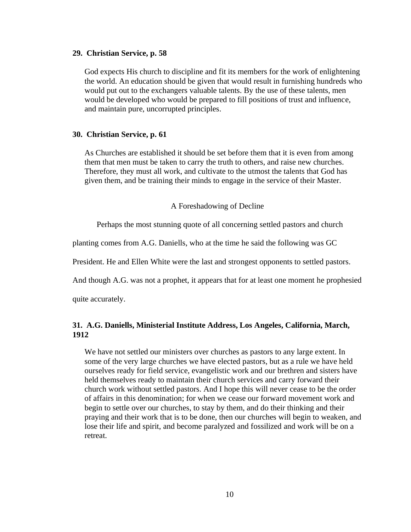#### **29. Christian Service, p. 58**

God expects His church to discipline and fit its members for the work of enlightening the world. An education should be given that would result in furnishing hundreds who would put out to the exchangers valuable talents. By the use of these talents, men would be developed who would be prepared to fill positions of trust and influence, and maintain pure, uncorrupted principles.

#### **30. Christian Service, p. 61**

As Churches are established it should be set before them that it is even from among them that men must be taken to carry the truth to others, and raise new churches. Therefore, they must all work, and cultivate to the utmost the talents that God has given them, and be training their minds to engage in the service of their Master.

A Foreshadowing of Decline

Perhaps the most stunning quote of all concerning settled pastors and church

planting comes from A.G. Daniells, who at the time he said the following was GC

President. He and Ellen White were the last and strongest opponents to settled pastors.

And though A.G. was not a prophet, it appears that for at least one moment he prophesied

quite accurately.

# **31. A.G. Daniells, Ministerial Institute Address, Los Angeles, California, March, 1912**

We have not settled our ministers over churches as pastors to any large extent. In some of the very large churches we have elected pastors, but as a rule we have held ourselves ready for field service, evangelistic work and our brethren and sisters have held themselves ready to maintain their church services and carry forward their church work without settled pastors. And I hope this will never cease to be the order of affairs in this denomination; for when we cease our forward movement work and begin to settle over our churches, to stay by them, and do their thinking and their praying and their work that is to be done, then our churches will begin to weaken, and lose their life and spirit, and become paralyzed and fossilized and work will be on a retreat.